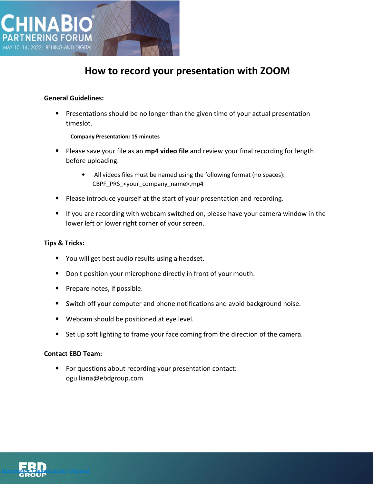

# **How to record your presentation with ZOOM**

#### **General Guidelines:**

• Presentations should be no longer than the given time of your actual presentation timeslot.

#### **Company Presentation: 15 minutes**

- Please save your file as an **mp4 video file** and review your final recording for length before uploading.
	- All videos files must be named using the following format (no spaces): CBPF\_PRS\_<your\_company\_name>.mp4
- Please introduce yourself at the start of your presentation and recording.
- If you are recording with webcam switched on, please have your camera window in the lower left or lower right corner of your screen.

#### **Tips & Tricks:**

- You will get best audio results using a headset.
- Don't position your microphone directly in front of your mouth.
- Prepare notes, if possible.
- Switch off your computer and phone notifications and avoid background noise.
- Webcam should be positioned at eye level.
- Set up soft lighting to frame your face coming from the direction of the camera.

#### **Contact EBD Team:**

• For questions about recording your presentation contact: oguiliana@ebdgroup.com

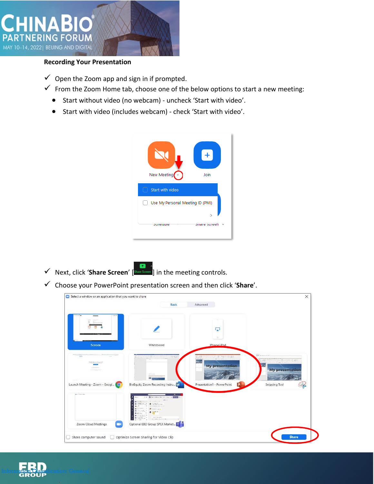

### **Recording Your Presentation**

- $\checkmark$  Open the Zoom app and sign in if prompted.
- $\checkmark$  From the Zoom Home tab, choose one of the below options to start a new meeting:
	- Start without video (no webcam) uncheck 'Start with video'.
	- Start with video (includes webcam) check 'Start with video'.



- ✓ Next, click '**Share Screen**' [ ] in the meeting controls.
- ✓ Choose your PowerPoint presentation screen and then click '**Share**'.

|                                                                                               | Basic                                                                                                                                                                                                                                                                                                       | Advanced                                      |                                                          |
|-----------------------------------------------------------------------------------------------|-------------------------------------------------------------------------------------------------------------------------------------------------------------------------------------------------------------------------------------------------------------------------------------------------------------|-----------------------------------------------|----------------------------------------------------------|
| 19.14                                                                                         |                                                                                                                                                                                                                                                                                                             | L, J                                          |                                                          |
| <b>Screen</b>                                                                                 | Whiteboard                                                                                                                                                                                                                                                                                                  | $^{\circ}$<br>iPhone/iPad                     |                                                          |
| <b>MORT</b><br><b>Service</b><br><b>FRANCISCO CONTRACTOR</b><br><b><i><u>AMPROVED</u></i></b> | Auntil the Media Manufacturer<br>children's<br>₩                                                                                                                                                                                                                                                            | APS900 年後4<br>31793<br><b>My presentation</b> | <b>Chimago</b><br>6009900 0 公式<br><b>My presentation</b> |
| Launch Meeting - Zoom - Googl<br><b>Q</b> Lie Ond Water                                       | BioEquity Zoom Recording Instru W<br>BRACKBANDRA AN LINE & BERTH CO.                                                                                                                                                                                                                                        | Presentation1 - PowerPoint                    | <b>Snipping Tool</b>                                     |
|                                                                                               | rear cre<br>$\mathcal{L}_{\mathcal{R}}$<br>$\circ$<br>control of the control<br><b>CONTRACT</b><br>$\alpha$<br><b>The county</b><br>$\alpha$<br><b>O</b> HALL HE<br>0 22000<br>$\mathcal{L}^{\text{in}}_{\text{in}}(\mathcal{E}_{\text{in}}) = \mathcal{L}^{\text{in}}$<br><b>SHEV-WATER</b><br>4.144447748 |                                               |                                                          |
| Zoom Cloud Meetings<br>- 1                                                                    | Optional EBD Group SPEX Market T                                                                                                                                                                                                                                                                            |                                               |                                                          |

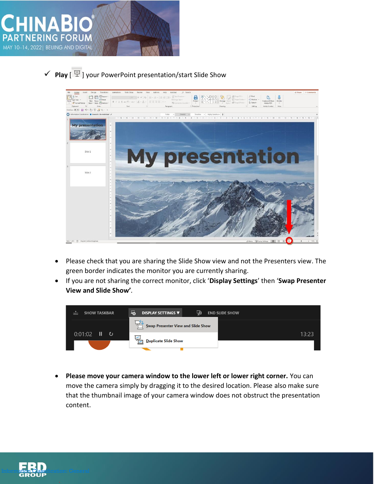

## ✓ **Play** [ ] your PowerPoint presentation/start Slide Show



- Please check that you are sharing the Slide Show view and not the Presenters view. The green border indicates the monitor you are currently sharing.
- If you are not sharing the correct monitor, click '**Display Settings**' then '**Swap Presenter View and Slide Show'***.*

| <b>SHOW TASKBAR</b><br>$F = 1$ | 马<br>कु<br><b>DISPLAY SETTINGS ▼</b><br><b>END SLIDE SHOW</b> |       |
|--------------------------------|---------------------------------------------------------------|-------|
|                                | Swap Presenter View and Slide Show                            |       |
| Ш<br>0:01:02<br>_ ల            | <b>Duplicate Slide Show</b>                                   | 13:23 |
|                                |                                                               |       |

• **Please move your camera window to the lower left or lower right corner.** You can move the camera simply by dragging it to the desired location. Please also make sure that the thumbnail image of your camera window does not obstruct the presentation content.